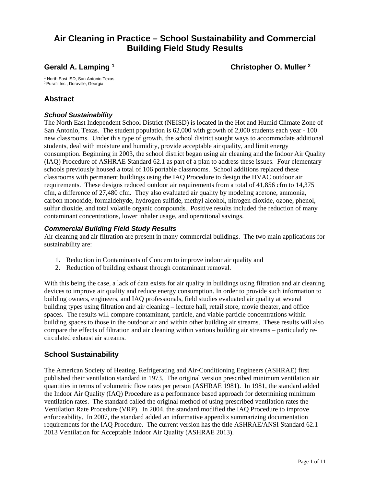# **Air Cleaning in Practice – School Sustainability and Commercial Building Field Study Results**

**Gerald A. Lamping 1** Christopher O. Muller <sup>2</sup>

1 North East ISD, San Antonio Texas <sup>2</sup> Purafil Inc., Doraville, Georgia

### **Abstract**

### *School Sustainability*

The North East Independent School District (NEISD) is located in the Hot and Humid Climate Zone of San Antonio, Texas. The student population is 62,000 with growth of 2,000 students each year - 100 new classrooms. Under this type of growth, the school district sought ways to accommodate additional students, deal with moisture and humidity, provide acceptable air quality, and limit energy consumption. Beginning in 2003, the school district began using air cleaning and the Indoor Air Quality (IAQ) Procedure of ASHRAE Standard 62.1 as part of a plan to address these issues. Four elementary schools previously housed a total of 106 portable classrooms. School additions replaced these classrooms with permanent buildings using the IAQ Procedure to design the HVAC outdoor air requirements. These designs reduced outdoor air requirements from a total of 41,856 cfm to 14,375 cfm, a difference of 27,480 cfm. They also evaluated air quality by modeling acetone, ammonia, carbon monoxide, formaldehyde, hydrogen sulfide, methyl alcohol, nitrogen dioxide, ozone, phenol, sulfur dioxide, and total volatile organic compounds. Positive results included the reduction of many contaminant concentrations, lower inhaler usage, and operational savings.

### *Commercial Building Field Study Results*

Air cleaning and air filtration are present in many commercial buildings. The two main applications for sustainability are:

- 1. Reduction in Contaminants of Concern to improve indoor air quality and
- 2. Reduction of building exhaust through contaminant removal.

With this being the case, a lack of data exists for air quality in buildings using filtration and air cleaning devices to improve air quality and reduce energy consumption. In order to provide such information to building owners, engineers, and IAQ professionals, field studies evaluated air quality at several building types using filtration and air cleaning – lecture hall, retail store, movie theater, and office spaces. The results will compare contaminant, particle, and viable particle concentrations within building spaces to those in the outdoor air and within other building air streams. These results will also compare the effects of filtration and air cleaning within various building air streams – particularly recirculated exhaust air streams.

### **School Sustainability**

The American Society of Heating, Refrigerating and Air-Conditioning Engineers (ASHRAE) first published their ventilation standard in 1973. The original version prescribed minimum ventilation air quantities in terms of volumetric flow rates per person (ASHRAE 1981). In 1981, the standard added the Indoor Air Quality (IAQ) Procedure as a performance based approach for determining minimum ventilation rates. The standard called the original method of using prescribed ventilation rates the Ventilation Rate Procedure (VRP). In 2004, the standard modified the IAQ Procedure to improve enforceability. In 2007, the standard added an informative appendix summarizing documentation requirements for the IAQ Procedure. The current version has the title ASHRAE/ANSI Standard 62.1- 2013 Ventilation for Acceptable Indoor Air Quality (ASHRAE 2013).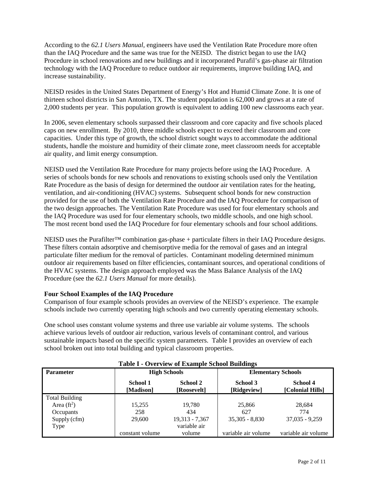According to the *62.1 Users Manual,* engineers have used the Ventilation Rate Procedure more often than the IAQ Procedure and the same was true for the NEISD. The district began to use the IAQ Procedure in school renovations and new buildings and it incorporated Purafil's gas-phase air filtration technology with the IAQ Procedure to reduce outdoor air requirements, improve building IAQ, and increase sustainability.

NEISD resides in the United States Department of Energy's Hot and Humid Climate Zone. It is one of thirteen school districts in San Antonio, TX. The student population is 62,000 and grows at a rate of 2,000 students per year. This population growth is equivalent to adding 100 new classrooms each year.

In 2006, seven elementary schools surpassed their classroom and core capacity and five schools placed caps on new enrollment. By 2010, three middle schools expect to exceed their classroom and core capacities. Under this type of growth, the school district sought ways to accommodate the additional students, handle the moisture and humidity of their climate zone, meet classroom needs for acceptable air quality, and limit energy consumption.

NEISD used the Ventilation Rate Procedure for many projects before using the IAQ Procedure. A series of schools bonds for new schools and renovations to existing schools used only the Ventilation Rate Procedure as the basis of design for determined the outdoor air ventilation rates for the heating, ventilation, and air-conditioning (HVAC) systems. Subsequent school bonds for new construction provided for the use of both the Ventilation Rate Procedure and the IAQ Procedure for comparison of the two design approaches. The Ventilation Rate Procedure was used for four elementary schools and the IAQ Procedure was used for four elementary schools, two middle schools, and one high school. The most recent bond used the IAQ Procedure for four elementary schools and four school additions.

NEISD uses the Purafilter<sup>™</sup> combination gas-phase + particulate filters in their IAQ Procedure designs. These filters contain adsorptive and chemisorptive media for the removal of gases and an integral particulate filter medium for the removal of particles. Contaminant modeling determined minimum outdoor air requirements based on filter efficiencies, contaminant sources, and operational conditions of the HVAC systems. The design approach employed was the Mass Balance Analysis of the IAQ Procedure (see the *62.1 Users Manual* for more details).

#### **Four School Examples of the IAQ Procedure**

Comparison of four example schools provides an overview of the NEISD's experience. The example schools include two currently operating high schools and two currently operating elementary schools.

One school uses constant volume systems and three use variable air volume systems. The schools achieve various levels of outdoor air reduction, various levels of contaminant control, and various sustainable impacts based on the specific system parameters. Table I provides an overview of each school broken out into total building and typical classroom properties.

| <b>Parameter</b>      |                       | <b>High Schools</b>     |                     | <b>Elementary Schools</b>    |
|-----------------------|-----------------------|-------------------------|---------------------|------------------------------|
|                       | School 1<br>[Madison] | School 2<br>[Roosevelt] |                     | School 4<br>[Colonial Hills] |
| <b>Total Building</b> |                       |                         |                     |                              |
| Area $(ft^2)$         | 15.255                | 19,780                  | 25,866              | 28.684                       |
| Occupants             | 258                   | 434                     | 627                 | 774                          |
| Supply (cfm)          | 29,600                | 19,313 - 7,367          | $35,305 - 8,830$    | $37,035 - 9,259$             |
| Type                  |                       | variable air            |                     |                              |
|                       | constant volume       | volume                  | variable air volume | variable air volume          |

|  |  | Table I - Overview of Example School Buildings |  |  |
|--|--|------------------------------------------------|--|--|
|--|--|------------------------------------------------|--|--|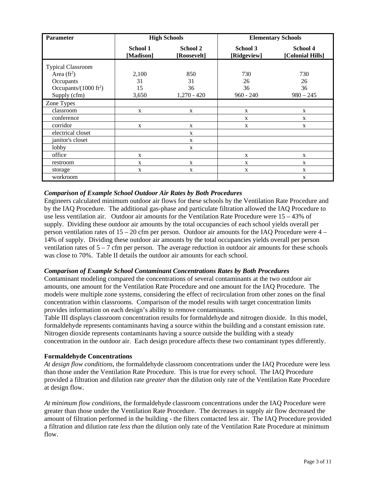| <b>Parameter</b>                 |                       | <b>High Schools</b>     |                         | <b>Elementary Schools</b>    |  |
|----------------------------------|-----------------------|-------------------------|-------------------------|------------------------------|--|
|                                  | School 1<br>[Madison] | School 2<br>[Roosevelt] | School 3<br>[Ridgeview] | School 4<br>[Colonial Hills] |  |
| <b>Typical Classroom</b>         |                       |                         |                         |                              |  |
| Area $(ft^2)$                    | 2,100                 | 850                     | 730                     | 730                          |  |
| Occupants                        | 31                    | 31                      | 26                      | 26                           |  |
| Occupants/ $(1000 \text{ ft}^2)$ | 15                    | 36                      | 36                      | 36                           |  |
| Supply (cfm)                     | 3,650                 | $1,270 - 420$           | $960 - 240$             | $980 - 245$                  |  |
| Zone Types                       |                       |                         |                         |                              |  |
| classroom                        | X                     | X                       | X                       | X                            |  |
| conference                       |                       |                         | X                       | X                            |  |
| corridor                         | $\mathbf{X}$          | X                       | X                       | X                            |  |
| electrical closet                |                       | X                       |                         |                              |  |
| janitor's closet                 |                       | X                       |                         |                              |  |
| lobby                            |                       | X                       |                         |                              |  |
| office                           | X                     |                         | $\mathbf X$             | X                            |  |
| restroom                         | X                     | X                       | X                       | X                            |  |
| storage                          | X                     | X                       | X                       | X                            |  |
| workroom                         |                       |                         |                         | X                            |  |

#### *Comparison of Example School Outdoor Air Rates by Both Procedures*

Engineers calculated minimum outdoor air flows for these schools by the Ventilation Rate Procedure and by the IAQ Procedure. The additional gas-phase and particulate filtration allowed the IAQ Procedure to use less ventilation air. Outdoor air amounts for the Ventilation Rate Procedure were 15 – 43% of supply. Dividing these outdoor air amounts by the total occupancies of each school yields overall per person ventilation rates of 15 – 20 cfm per person. Outdoor air amounts for the IAQ Procedure were 4 – 14% of supply. Dividing these outdoor air amounts by the total occupancies yields overall per person ventilation rates of  $5 - 7$  cfm per person. The average reduction in outdoor air amounts for these schools was close to 70%. Table II details the outdoor air amounts for each school.

#### *Comparison of Example School Contaminant Concentrations Rates by Both Procedures*

Contaminant modeling compared the concentrations of several contaminants at the two outdoor air amounts, one amount for the Ventilation Rate Procedure and one amount for the IAQ Procedure. The models were multiple zone systems, considering the effect of recirculation from other zones on the final concentration within classrooms. Comparison of the model results with target concentration limits provides information on each design's ability to remove contaminants.

Table III displays classroom concentration results for formaldehyde and nitrogen dioxide. In this model, formaldehyde represents contaminants having a source within the building and a constant emission rate. Nitrogen dioxide represents contaminants having a source outside the building with a steady concentration in the outdoor air. Each design procedure affects these two contaminant types differently.

#### **Formaldehyde Concentrations**

*At design flow conditions*, the formaldehyde classroom concentrations under the IAQ Procedure were less than those under the Ventilation Rate Procedure. This is true for every school. The IAQ Procedure provided a filtration and dilution rate *greater than* the dilution only rate of the Ventilation Rate Procedure at design flow.

*At minimum flow conditions*, the formaldehyde classroom concentrations under the IAQ Procedure were greater than those under the Ventilation Rate Procedure. The decreases in supply air flow decreased the amount of filtration performed in the building - the filters contacted less air. The IAQ Procedure provided a filtration and dilution rate *less than* the dilution only rate of the Ventilation Rate Procedure at minimum flow.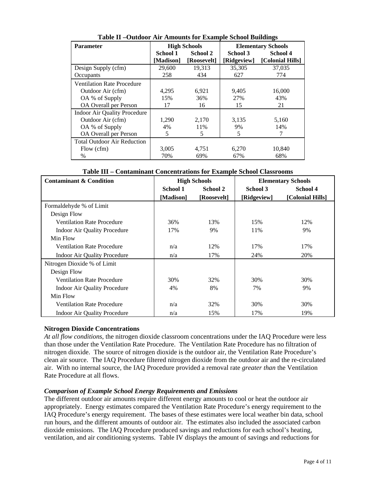| <b>Parameter</b>                    |           | <b>High Schools</b><br><b>Elementary Schools</b> |             |                  |
|-------------------------------------|-----------|--------------------------------------------------|-------------|------------------|
|                                     | School 1  | School 2                                         | School 3    | School 4         |
|                                     | [Madison] | [Roosevelt]                                      | [Ridgeview] | [Colonial Hills] |
| Design Supply (cfm)                 | 29,600    | 19,313                                           | 35,305      | 37,035           |
| Occupants                           | 258       | 434                                              | 627         | 774              |
| <b>Ventilation Rate Procedure</b>   |           |                                                  |             |                  |
| Outdoor Air (cfm)                   | 4,295     | 6,921                                            | 9,405       | 16,000           |
| OA % of Supply                      | 15%       | 36%                                              | 27%         | 43%              |
| OA Overall per Person               | 17        | 16                                               | 15          | 21               |
| <b>Indoor Air Quality Procedure</b> |           |                                                  |             |                  |
| Outdoor Air (cfm)                   | 1.290     | 2.170                                            | 3,135       | 5,160            |
| OA % of Supply                      | 4%        | 11%                                              | 9%          | 14%              |
| OA Overall per Person               | 5         | 5                                                | 5           | 7                |
| <b>Total Outdoor Air Reduction</b>  |           |                                                  |             |                  |
| Flow (cfm)                          | 3,005     | 4,751                                            | 6,270       | 10,840           |
| $\%$                                | 70%       | 69%                                              | 67%         | 68%              |

**Table II –Outdoor Air Amounts for Example School Buildings** 

| Table III – Contaminant Concentrations for Example School Classrooms |  |
|----------------------------------------------------------------------|--|
|----------------------------------------------------------------------|--|

| <b>Contaminant &amp; Condition</b>  |           | <b>High Schools</b> | <b>Elementary Schools</b> |                  |  |
|-------------------------------------|-----------|---------------------|---------------------------|------------------|--|
|                                     | School 1  | School 2            | School 3                  | School 4         |  |
|                                     | [Madison] | [Roosevelt]         | [Ridgeview]               | [Colonial Hills] |  |
| Formaldehyde % of Limit             |           |                     |                           |                  |  |
| Design Flow                         |           |                     |                           |                  |  |
| <b>Ventilation Rate Procedure</b>   | 36%       | 13%                 | 15%                       | 12%              |  |
| <b>Indoor Air Quality Procedure</b> | 17%       | 9%                  | 11%                       | 9%               |  |
| Min Flow                            |           |                     |                           |                  |  |
| <b>Ventilation Rate Procedure</b>   | n/a       | 12%                 | 17%                       | 17%              |  |
| <b>Indoor Air Quality Procedure</b> | n/a       | 17%                 | 24%                       | 20%              |  |
| Nitrogen Dioxide % of Limit         |           |                     |                           |                  |  |
| Design Flow                         |           |                     |                           |                  |  |
| <b>Ventilation Rate Procedure</b>   | 30%       | 32%                 | 30%                       | 30%              |  |
| <b>Indoor Air Quality Procedure</b> | 4%        | 8%                  | 7%                        | 9%               |  |
| Min Flow                            |           |                     |                           |                  |  |
| <b>Ventilation Rate Procedure</b>   | n/a       | 32%                 | 30%                       | 30%              |  |
| <b>Indoor Air Quality Procedure</b> | n/a       | 15%                 | 17%                       | 19%              |  |

### **Nitrogen Dioxide Concentrations**

*At all flow conditions*, the nitrogen dioxide classroom concentrations under the IAQ Procedure were less than those under the Ventilation Rate Procedure. The Ventilation Rate Procedure has no filtration of nitrogen dioxide. The source of nitrogen dioxide is the outdoor air, the Ventilation Rate Procedure's clean air source. The IAQ Procedure filtered nitrogen dioxide from the outdoor air and the re-circulated air. With no internal source, the IAQ Procedure provided a removal rate *greater than* the Ventilation Rate Procedure at all flows.

#### *Comparison of Example School Energy Requirements and Emissions*

The different outdoor air amounts require different energy amounts to cool or heat the outdoor air appropriately. Energy estimates compared the Ventilation Rate Procedure's energy requirement to the IAQ Procedure's energy requirement. The bases of these estimates were local weather bin data, school run hours, and the different amounts of outdoor air. The estimates also included the associated carbon dioxide emissions. The IAQ Procedure produced savings and reductions for each school's heating, ventilation, and air conditioning systems. Table IV displays the amount of savings and reductions for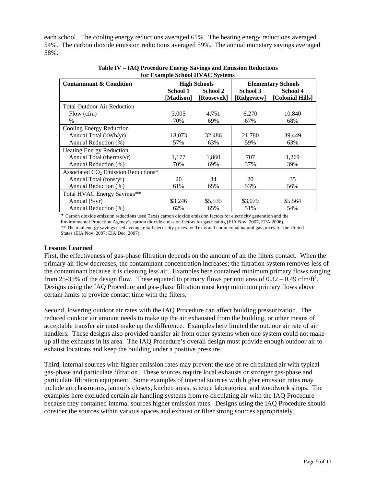each school. The cooling energy reductions averaged 61%. The heating energy reductions averaged 54%. The carbon dioxide emission reductions averaged 59%. The annual monetary savings averaged 58%.

| <b>Contaminant &amp; Condition</b><br><b>High Schools</b><br><b>Elementary Schools</b> |                      |             |             |                  |  |  |  |
|----------------------------------------------------------------------------------------|----------------------|-------------|-------------|------------------|--|--|--|
|                                                                                        | School 2<br>School 1 |             | School 3    | School 4         |  |  |  |
|                                                                                        |                      |             |             |                  |  |  |  |
|                                                                                        | [Madison]            | [Roosevelt] | [Ridgeview] | [Colonial Hills] |  |  |  |
| <b>Total Outdoor Air Reduction</b>                                                     |                      |             |             |                  |  |  |  |
| Flow (cfm)                                                                             | 3,005                | 4,751       | 6,270       | 10,840           |  |  |  |
| $\%$                                                                                   | 70%                  | 69%         | 67%         | 68%              |  |  |  |
| Cooling Energy Reduction                                                               |                      |             |             |                  |  |  |  |
| Annual Total (kWh/yr)                                                                  | 18,073               | 32,486      | 21,780      | 39,449           |  |  |  |
| Annual Reduction (%)                                                                   | 57%                  | 63%         | 59%         | 63%              |  |  |  |
| <b>Heating Energy Reduction</b>                                                        |                      |             |             |                  |  |  |  |
| Annual Total (therms/yr)                                                               | 1,177                | 1,860       | 707         | 1,269            |  |  |  |
| Annual Reduction (%)                                                                   | 70%                  | 69%         | 37%         | 39%              |  |  |  |
| Associated CO <sub>2</sub> Emission Reductions*                                        |                      |             |             |                  |  |  |  |
| Annual Total (tons/yr)                                                                 | 20                   | 34          | 20          | 35               |  |  |  |
| Annual Reduction (%)                                                                   | 61%                  | 65%         | 53%         | 56%              |  |  |  |
| Total HVAC Energy Savings**                                                            |                      |             |             |                  |  |  |  |
| Annual $(\frac{f}{y})$                                                                 | \$3,246              | \$5,535     | \$3,079     | \$5,564          |  |  |  |
| Annual Reduction (%)                                                                   | 62%                  | 65%         | 51%         | 54%              |  |  |  |

**Table IV – IAQ Procedure Energy Savings and Emission Reductions for Example School HVAC Systems** 

\* Carbon dioxide emission reductions used Texas carbon dioxide emission factors for electricity generation and the Environmental Protection Agency's carbon dioxide emission factors for gas heating (EIA Nov. 2007, EPA 2006).

\*\* The total energy savings used average retail electricity prices for Texas and commercial natural gas prices for the United States (EIA Nov. 2007; EIA Dec. 2007).

#### **Lessons Learned**

First, the effectiveness of gas-phase filtration depends on the amount of air the filters contact. When the primary air flow decreases, the contaminant concentration increases; the filtration system removes less of the contaminant because it is cleaning less air. Examples here contained minimum primary flows ranging from 25-35% of the design flow. These equated to primary flows per unit area of  $0.32 - 0.49$  cfm/ft<sup>2</sup>. Designs using the IAQ Procedure and gas-phase filtration must keep minimum primary flows above certain limits to provide contact time with the filters.

Second, lowering outdoor air rates with the IAQ Procedure can affect building pressurization. The reduced outdoor air amount needs to make up the air exhausted from the building, or other means of acceptable transfer air must make up the difference. Examples here limited the outdoor air rate of air handlers. These designs also provided transfer air from other systems when one system could not makeup all the exhausts in its area. The IAQ Procedure's overall design must provide enough outdoor air to exhaust locations and keep the building under a positive pressure.

Third, internal sources with higher emission rates may prevent the use of re-circulated air with typical gas-phase and particulate filtration. These sources require local exhausts or stronger gas-phase and particulate filtration equipment. Some examples of internal sources with higher emission rates may include art classrooms, janitor's closets, kitchen areas, science laboratories, and woodwork shops. The examples here excluded certain air handling systems from re-circulating air with the IAQ Procedure because they contained internal sources higher emission rates. Designs using the IAQ Procedure should consider the sources within various spaces and exhaust or filter strong sources appropriately.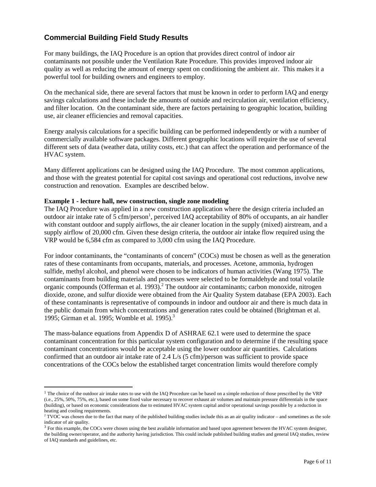# **Commercial Building Field Study Results**

For many buildings, the IAQ Procedure is an option that provides direct control of indoor air contaminants not possible under the Ventilation Rate Procedure. This provides improved indoor air quality as well as reducing the amount of energy spent on conditioning the ambient air. This makes it a powerful tool for building owners and engineers to employ.

On the mechanical side, there are several factors that must be known in order to perform IAQ and energy savings calculations and these include the amounts of outside and recirculation air, ventilation efficiency, and filter location. On the contaminant side, there are factors pertaining to geographic location, building use, air cleaner efficiencies and removal capacities.

Energy analysis calculations for a specific building can be performed independently or with a number of commercially available software packages. Different geographic locations will require the use of several different sets of data (weather data, utility costs, etc.) that can affect the operation and performance of the HVAC system.

Many different applications can be designed using the IAQ Procedure. The most common applications, and those with the greatest potential for capital cost savings and operational cost reductions, involve new construction and renovation. Examples are described below.

#### **Example 1 - lecture hall, new construction, single zone modeling**

 $\overline{a}$ 

The IAQ Procedure was applied in a new construction application where the design criteria included an outdoor air intake rate of 5 cfm/person<sup>1</sup>, perceived IAQ acceptability of 80% of occupants, an air handler with constant outdoor and supply airflows, the air cleaner location in the supply (mixed) airstream, and a supply airflow of 20,000 cfm. Given these design criteria, the outdoor air intake flow required using the VRP would be 6,584 cfm as compared to 3,000 cfm using the IAQ Procedure.

For indoor contaminants, the "contaminants of concern" (COCs) must be chosen as well as the generation rates of these contaminants from occupants, materials, and processes. Acetone, ammonia, hydrogen sulfide, methyl alcohol, and phenol were chosen to be indicators of human activities (Wang 1975). The contaminants from building materials and processes were selected to be formaldehyde and total volatile organic compounds (Offerman et al. 1993).<sup>2</sup> The outdoor air contaminants; carbon monoxide, nitrogen dioxide, ozone, and sulfur dioxide were obtained from the Air Quality System database (EPA 2003). Each of these contaminants is representative of compounds in indoor and outdoor air and there is much data in the public domain from which concentrations and generation rates could be obtained (Brightman et al. 1995; Girman et al. 1995; Womble et al. 1995).<sup>3</sup>

The mass-balance equations from Appendix D of ASHRAE 62.1 were used to determine the space contaminant concentration for this particular system configuration and to determine if the resulting space contaminant concentrations would be acceptable using the lower outdoor air quantities. Calculations confirmed that an outdoor air intake rate of 2.4 L/s (5 cfm)/person was sufficient to provide space concentrations of the COCs below the established target concentration limits would therefore comply

<sup>&</sup>lt;sup>1</sup> The choice of the outdoor air intake rates to use with the IAQ Procedure can be based on a simple reduction of those prescribed by the VRP (i.e., 25%, 50%, 75%, etc.), based on some fixed value necessary to recover exhaust air volumes and maintain pressure differentials in the space (building), or based on economic considerations due to estimated HVAC system capital and/or operational savings possible by a reduction in heating and cooling requirements.

 $2^2$  TVOC was chosen due to the fact that many of the published building studies include this as an air quality indicator – and sometimes as the sole indicator of air quality.

<sup>&</sup>lt;sup>3</sup> For this example, the COCs were chosen using the best available information and based upon agreement between the HVAC system designer, the building owner/operator, and the authority having jurisdiction. This could include published building studies and general IAQ studies, review of IAQ standards and guidelines, etc.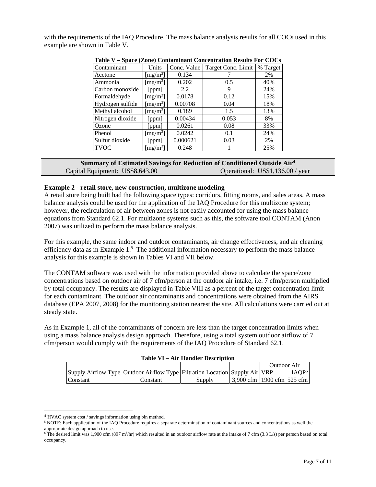with the requirements of the IAQ Procedure. The mass balance analysis results for all COCs used in this example are shown in Table V.

| Table $\ell$ – $\beta$ pace (zone) contaminant concentration results For COCs |                      |             |                    |          |  |  |  |  |
|-------------------------------------------------------------------------------|----------------------|-------------|--------------------|----------|--|--|--|--|
| Contaminant                                                                   | Units                | Conc. Value | Target Conc. Limit | % Target |  |  |  |  |
| Acetone                                                                       | [mg/m <sup>3</sup> ] | 0.134       |                    | 2%       |  |  |  |  |
| Ammonia                                                                       | [ $mg/m3$ ]          | 0.202       | 0.5                | 40%      |  |  |  |  |
| Carbon monoxide                                                               | [ppm]                | 2.2         | 9                  | 24%      |  |  |  |  |
| Formaldehyde                                                                  | [ $mg/m3$ ]          | 0.0178      | 0.12               | 15%      |  |  |  |  |
| Hydrogen sulfide                                                              | [mg/m <sup>3</sup> ] | 0.00708     | 0.04               | 18%      |  |  |  |  |
| Methyl alcohol                                                                | [mg/m <sup>3</sup> ] | 0.189       | 1.5                | 13%      |  |  |  |  |
| Nitrogen dioxide                                                              | [ppm]                | 0.00434     | 0.053              | 8%       |  |  |  |  |
| Ozone                                                                         | [ppm]                | 0.0261      | 0.08               | 33%      |  |  |  |  |
| Phenol                                                                        | [mg/m <sup>3</sup> ] | 0.0242      | 0.1                | 24%      |  |  |  |  |
| Sulfur dioxide                                                                | [ppm]                | 0.000621    | 0.03               | 2%       |  |  |  |  |
| <b>TVOC</b>                                                                   | [mg/m <sup>3</sup> ] | 0.248       |                    | 25%      |  |  |  |  |

|  | Table V – Space (Zone) Contaminant Concentration Results For COCs |  |  |  |
|--|-------------------------------------------------------------------|--|--|--|
|--|-------------------------------------------------------------------|--|--|--|

| Summary of Estimated Savings for Reduction of Conditioned Outside Air <sup>4</sup> |                                  |  |  |  |  |  |
|------------------------------------------------------------------------------------|----------------------------------|--|--|--|--|--|
| Capital Equipment: US\$8,643.00                                                    | Operational: US\$1,136.00 / year |  |  |  |  |  |

#### **Example 2 - retail store, new construction, multizone modeling**

A retail store being built had the following space types: corridors, fitting rooms, and sales areas. A mass balance analysis could be used for the application of the IAQ Procedure for this multizone system; however, the recirculation of air between zones is not easily accounted for using the mass balance equations from Standard 62.1. For multizone systems such as this, the software tool CONTAM (Anon 2007) was utilized to perform the mass balance analysis.

For this example, the same indoor and outdoor contaminants, air change effectiveness, and air cleaning efficiency data as in Example  $1<sup>5</sup>$ . The additional information necessary to perform the mass balance analysis for this example is shown in Tables VI and VII below.

The CONTAM software was used with the information provided above to calculate the space/zone concentrations based on outdoor air of 7 cfm/person at the outdoor air intake, i.e. 7 cfm/person multiplied by total occupancy. The results are displayed in Table VIII as a percent of the target concentration limit for each contaminant. The outdoor air contaminants and concentrations were obtained from the AIRS database (EPA 2007, 2008) for the monitoring station nearest the site. All calculations were carried out at steady state.

As in Example 1, all of the contaminants of concern are less than the target concentration limits when using a mass balance analysis design approach. Therefore, using a total system outdoor airflow of 7 cfm/person would comply with the requirements of the IAQ Procedure of Standard 62.1.

| <b>Table VI – Air Handler Description</b> |                                                                                     |        |                                 |                    |                   |  |  |
|-------------------------------------------|-------------------------------------------------------------------------------------|--------|---------------------------------|--------------------|-------------------|--|--|
|                                           |                                                                                     |        |                                 | <b>Outdoor Air</b> |                   |  |  |
|                                           | Supply Airflow Type   Outdoor Airflow Type   Filtration Location   Supply Air   VRP |        |                                 |                    | IAOP <sup>6</sup> |  |  |
| Constant                                  | Constant                                                                            | Supply | 3,900 cfm   1900 cfm $ 525$ cfm |                    |                   |  |  |

 $\overline{a}$ 

<sup>4</sup> HVAC system cost / savings information using bin method. <sup>5</sup> NOTE: Each application of the IAQ Procedure requires a separate determination of contaminant sources and concentrations as well the appropriate design approach to use.

<sup>&</sup>lt;sup>6</sup> The desired limit was 1,900 cfm (897 m<sup>3</sup>/hr) which resulted in an outdoor airflow rate at the intake of 7 cfm (3.3 L/s) per person based on total occupancy.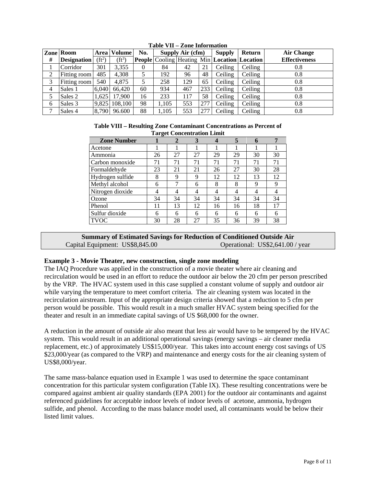|   | <b>Zone Room</b>   |          | Area   Volume | No. |       | Supply Air (cfm) |     | <b>Supply</b>                                        | <b>Return</b> | <b>Air Change</b>    |
|---|--------------------|----------|---------------|-----|-------|------------------|-----|------------------------------------------------------|---------------|----------------------|
| # | <b>Designation</b> | $(ft^2)$ | $(ft^3)$      |     |       |                  |     | People   Cooling   Heating Min   Location   Location |               | <b>Effectiveness</b> |
|   | Corridor           | 301      | 3,355         | 0   | 84    | 42               | 21  | Ceiling                                              | Ceiling       | 0.8                  |
| 2 | Fitting room       | 485      | 4.308         |     | 192   | 96               | 48  | Ceiling                                              | Ceiling       | 0.8                  |
| 3 | Fitting room       | 540      | 4.875         |     | 258   | 129              | 65  | Ceiling                                              | Ceiling       | 0.8                  |
| 4 | Sales 1            | 6.040    | 66.420        | 60  | 934   | 467              | 233 | Ceiling                                              | Ceiling       | 0.8                  |
| 5 | Sales 2            | 1.625    | 17.900        | 16  | 233   | 117              | 58  | Ceiling                                              | Ceiling       | 0.8                  |
| 6 | Sales 3            | 9,825    | 108,100       | 98  | 1,105 | 553              | 277 | Ceiling                                              | Ceiling       | 0.8                  |
| ⇁ | Sales 4            | 8.790    | 96.600        | 88  | 1.105 | 553              | 277 | Ceiling                                              | Ceiling       | 0.8                  |

**Table VII – Zone Information** 

| Table VIII – Resulting Zone Contaminant Concentrations as Percent of |
|----------------------------------------------------------------------|
| <b>Target Concentration Limit</b>                                    |

| Tal get Concentration Emmi |    |    |    |    |    |    |    |
|----------------------------|----|----|----|----|----|----|----|
| <b>Zone Number</b>         |    | 2  | 3  | 4  | 5  |    | 7  |
| Acetone                    |    |    |    |    |    |    |    |
| Ammonia                    | 26 | 27 | 27 | 29 | 29 | 30 | 30 |
| Carbon monoxide            | 71 | 71 | 71 | 71 | 71 | 71 | 71 |
| Formaldehyde               | 23 | 21 | 21 | 26 | 27 | 30 | 28 |
| Hydrogen sulfide           | 8  | 9  | 9  | 12 | 12 | 13 | 12 |
| Methyl alcohol             | 6  | 7  | 6  | 8  | 8  | 9  | 9  |
| Nitrogen dioxide           | 4  | 4  | 4  | 4  | 4  | 4  | 4  |
| Ozone                      | 34 | 34 | 34 | 34 | 34 | 34 | 34 |
| Phenol                     | 11 | 13 | 12 | 16 | 16 | 18 | 17 |
| Sulfur dioxide             | 6  | 6  | 6  | 6  | 6  | 6  | 6  |
| <b>TVOC</b>                | 30 | 28 | 27 | 35 | 36 | 39 | 38 |

#### **Summary of Estimated Savings for Reduction of Conditioned Outside Air** Capital Equipment: US\$8,845.00 Operational: US\$2,641.00 / year

#### **Example 3 - Movie Theater, new construction, single zone modeling**

The IAQ Procedure was applied in the construction of a movie theater where air cleaning and recirculation would be used in an effort to reduce the outdoor air below the 20 cfm per person prescribed by the VRP. The HVAC system used in this case supplied a constant volume of supply and outdoor air while varying the temperature to meet comfort criteria. The air cleaning system was located in the recirculation airstream. Input of the appropriate design criteria showed that a reduction to 5 cfm per person would be possible. This would result in a much smaller HVAC system being specified for the theater and result in an immediate capital savings of US \$68,000 for the owner.

A reduction in the amount of outside air also meant that less air would have to be tempered by the HVAC system. This would result in an additional operational savings (energy savings – air cleaner media replacement, etc.) of approximately US\$15,000/year. This takes into account energy cost savings of US \$23,000/year (as compared to the VRP) and maintenance and energy costs for the air cleaning system of US\$8,000/year.

The same mass-balance equation used in Example 1 was used to determine the space contaminant concentration for this particular system configuration (Table IX). These resulting concentrations were be compared against ambient air quality standards (EPA 2001) for the outdoor air contaminants and against referenced guidelines for acceptable indoor levels of indoor levels of acetone, ammonia, hydrogen sulfide, and phenol. According to the mass balance model used, all contaminants would be below their listed limit values.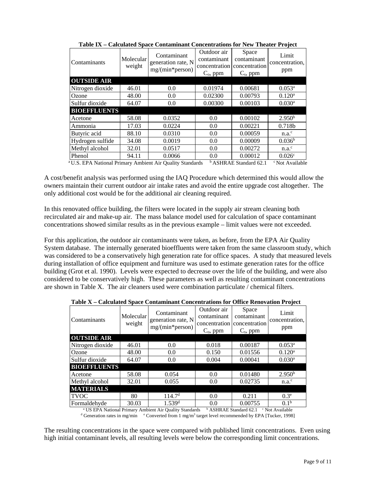| Contaminants                                                                                                                            | Molecular<br>weight | Contaminant<br>generation rate, N<br>mg/(min*person) | Outdoor air<br>contaminant<br>concentration<br>$C_{o}$ , ppm | Space<br>contaminant<br>concentration<br>$C_s$ , ppm | Limit<br>concentration.<br>ppm |
|-----------------------------------------------------------------------------------------------------------------------------------------|---------------------|------------------------------------------------------|--------------------------------------------------------------|------------------------------------------------------|--------------------------------|
| <b>OUTSIDE AIR</b>                                                                                                                      |                     |                                                      |                                                              |                                                      |                                |
| Nitrogen dioxide                                                                                                                        | 46.01               | 0.0                                                  | 0.01974                                                      | 0.00681                                              | $0.053^{\rm a}$                |
| Ozone                                                                                                                                   | 48.00               | 0.0                                                  | 0.02300                                                      | 0.00793                                              | 0.120 <sup>a</sup>             |
| Sulfur dioxide                                                                                                                          | 64.07               | 0.0                                                  | 0.00300                                                      | 0.00103                                              | $0.030$ <sup>a</sup>           |
| <b>BIOEFFLUENTS</b>                                                                                                                     |                     |                                                      |                                                              |                                                      |                                |
| Acetone                                                                                                                                 | 58.08               | 0.0352                                               | 0.0                                                          | 0.00102                                              | 2.950 <sup>b</sup>             |
| Ammonia                                                                                                                                 | 17.03               | 0.0224                                               | 0.0                                                          | 0.00221                                              | 0.718b                         |
| Butyric acid                                                                                                                            | 88.10               | 0.0310                                               | 0.0                                                          | 0.00059                                              | n.a. <sup>c</sup>              |
| Hydrogen sulfide                                                                                                                        | 34.08               | 0.0019                                               | 0.0                                                          | 0.00009                                              | 0.036 <sup>b</sup>             |
| Methyl alcohol                                                                                                                          | 32.01               | 0.0517                                               | 0.0                                                          | 0.00272                                              | $n.a.^c$                       |
| Phenol                                                                                                                                  | 94.11               | 0.0066                                               | 0.0                                                          | 0.00012                                              | 0.026c                         |
| <sup>a</sup> U.S. EPA National Primary Ambient Air Quality Standards<br><sup>b</sup> ASHRAE Standard 62.1<br><sup>c</sup> Not Available |                     |                                                      |                                                              |                                                      |                                |

**Table IX – Calculated Space Contaminant Concentrations for New Theater Project** 

A cost/benefit analysis was performed using the IAQ Procedure which determined this would allow the owners maintain their current outdoor air intake rates and avoid the entire upgrade cost altogether. The only additional cost would be for the additional air cleaning required.

In this renovated office building, the filters were located in the supply air stream cleaning both recirculated air and make-up air. The mass balance model used for calculation of space contaminant concentrations showed similar results as in the previous example – limit values were not exceeded.

For this application, the outdoor air contaminants were taken, as before, from the EPA Air Quality System database. The internally generated bioeffluents were taken from the same classroom study, which was considered to be a conservatively high generation rate for office spaces. A study that measured levels during installation of office equipment and furniture was used to estimate generation rates for the office building (Grot et al. 1990). Levels were expected to decrease over the life of the building, and were also considered to be conservatively high. These parameters as well as resulting contaminant concentrations are shown in Table X. The air cleaners used were combination particulate / chemical filters.

| Contaminants                                                                                                                                                                                                                                                                   | Molecular<br>weight | Contaminant<br>generation rate, N<br>$mg/(min*person)$ | Outdoor air<br>contaminant<br>concentration   concentration<br>$C_{o}$ , ppm | Space<br>contaminant<br>$C_s$ , ppm | Limit<br>concentration,<br>ppm |
|--------------------------------------------------------------------------------------------------------------------------------------------------------------------------------------------------------------------------------------------------------------------------------|---------------------|--------------------------------------------------------|------------------------------------------------------------------------------|-------------------------------------|--------------------------------|
| <b>OUTSIDE AIR</b>                                                                                                                                                                                                                                                             |                     |                                                        |                                                                              |                                     |                                |
| Nitrogen dioxide                                                                                                                                                                                                                                                               | 46.01               | 0.0                                                    | 0.018                                                                        | 0.00187                             | $0.053^{\rm a}$                |
| Ozone                                                                                                                                                                                                                                                                          | 48.00               | 0.0                                                    | 0.150                                                                        | 0.01556                             | 0.120 <sup>a</sup>             |
| Sulfur dioxide                                                                                                                                                                                                                                                                 | 64.07               | 0.0                                                    | 0.004                                                                        | 0.00041                             | $0.030$ <sup>a</sup>           |
| <b>BIOEFFLUENTS</b>                                                                                                                                                                                                                                                            |                     |                                                        |                                                                              |                                     |                                |
| Acetone                                                                                                                                                                                                                                                                        | 58.08               | 0.054                                                  | 0.0                                                                          | 0.01480                             | 2.950 <sup>b</sup>             |
| Methyl alcohol                                                                                                                                                                                                                                                                 | 32.01               | 0.055                                                  | 0.0                                                                          | 0.02735                             | $n.a.^c$                       |
| <b>MATERIALS</b>                                                                                                                                                                                                                                                               |                     |                                                        |                                                                              |                                     |                                |
| <b>TVOC</b>                                                                                                                                                                                                                                                                    | 80                  | 114.7 <sup>d</sup>                                     | 0.0                                                                          | 0.211                               | 0.3 <sup>e</sup>               |
| Formaldehyde                                                                                                                                                                                                                                                                   | 30.03               | $1.539$ <sup>d</sup>                                   | 0.0                                                                          | 0.00755                             | 0.1 <sup>b</sup>               |
| <sup>b</sup> ASHRAE Standard 62.1<br><sup>a</sup> US EPA National Primary Ambient Air Quality Standards<br><sup>c</sup> Not Available<br><sup>d</sup> Generation rates in ma/min <sup>e</sup> Converted from 1 ma/m <sup>3</sup> target level recommended by EDA [Tucker 1008] |                     |                                                        |                                                                              |                                     |                                |

**Table X – Calculated Space Contaminant Concentrations for Office Renovation Project** 

Generation rates in mg/min <sup>e</sup> Converted from 1 mg/m<sup>3</sup> target level recommended by EPA [Tucker, 1998]

The resulting concentrations in the space were compared with published limit concentrations. Even using high initial contaminant levels, all resulting levels were below the corresponding limit concentrations.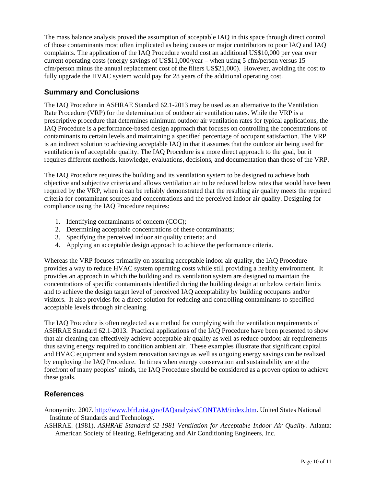The mass balance analysis proved the assumption of acceptable IAQ in this space through direct control of those contaminants most often implicated as being causes or major contributors to poor IAQ and IAQ complaints. The application of the IAQ Procedure would cost an additional US\$10,000 per year over current operating costs (energy savings of US\$11,000/year – when using 5 cfm/person versus 15 cfm/person minus the annual replacement cost of the filters US\$21,000). However, avoiding the cost to fully upgrade the HVAC system would pay for 28 years of the additional operating cost.

## **Summary and Conclusions**

The IAQ Procedure in ASHRAE Standard 62.1-2013 may be used as an alternative to the Ventilation Rate Procedure (VRP) for the determination of outdoor air ventilation rates. While the VRP is a prescriptive procedure that determines minimum outdoor air ventilation rates for typical applications, the IAQ Procedure is a performance-based design approach that focuses on controlling the concentrations of contaminants to certain levels and maintaining a specified percentage of occupant satisfaction. The VRP is an indirect solution to achieving acceptable IAQ in that it assumes that the outdoor air being used for ventilation is of acceptable quality. The IAQ Procedure is a more direct approach to the goal, but it requires different methods, knowledge, evaluations, decisions, and documentation than those of the VRP.

The IAQ Procedure requires the building and its ventilation system to be designed to achieve both objective and subjective criteria and allows ventilation air to be reduced below rates that would have been required by the VRP, when it can be reliably demonstrated that the resulting air quality meets the required criteria for contaminant sources and concentrations and the perceived indoor air quality. Designing for compliance using the IAQ Procedure requires:

- 1. Identifying contaminants of concern (COC);
- 2. Determining acceptable concentrations of these contaminants;
- 3. Specifying the perceived indoor air quality criteria; and
- 4. Applying an acceptable design approach to achieve the performance criteria.

Whereas the VRP focuses primarily on assuring acceptable indoor air quality, the IAQ Procedure provides a way to reduce HVAC system operating costs while still providing a healthy environment. It provides an approach in which the building and its ventilation system are designed to maintain the concentrations of specific contaminants identified during the building design at or below certain limits and to achieve the design target level of perceived IAQ acceptability by building occupants and/or visitors. It also provides for a direct solution for reducing and controlling contaminants to specified acceptable levels through air cleaning.

The IAQ Procedure is often neglected as a method for complying with the ventilation requirements of ASHRAE Standard 62.1-2013. Practical applications of the IAQ Procedure have been presented to show that air cleaning can effectively achieve acceptable air quality as well as reduce outdoor air requirements thus saving energy required to condition ambient air. These examples illustrate that significant capital and HVAC equipment and system renovation savings as well as ongoing energy savings can be realized by employing the IAQ Procedure. In times when energy conservation and sustainability are at the forefront of many peoples' minds, the IAQ Procedure should be considered as a proven option to achieve these goals.

# **References**

Anonymity. 2007. http://www.bfrl.nist.gov/IAQanalysis/CONTAM/index.htm. United States National Institute of Standards and Technology.

ASHRAE. (1981). *ASHRAE Standard 62-1981 Ventilation for Acceptable Indoor Air Quality.* Atlanta: American Society of Heating, Refrigerating and Air Conditioning Engineers, Inc.